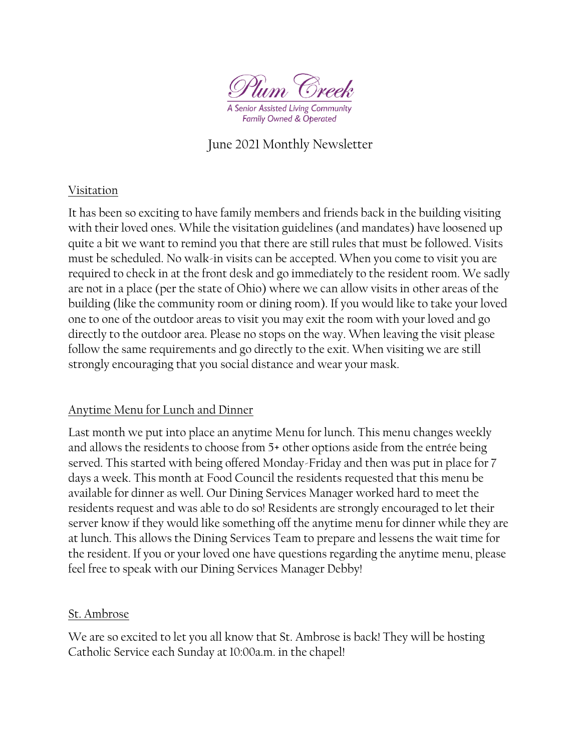

Family Owned & Operated

# June 2021 Monthly Newsletter

#### Visitation

It has been so exciting to have family members and friends back in the building visiting with their loved ones. While the visitation guidelines (and mandates) have loosened up quite a bit we want to remind you that there are still rules that must be followed. Visits must be scheduled. No walk-in visits can be accepted. When you come to visit you are required to check in at the front desk and go immediately to the resident room. We sadly are not in a place (per the state of Ohio) where we can allow visits in other areas of the building (like the community room or dining room). If you would like to take your loved one to one of the outdoor areas to visit you may exit the room with your loved and go directly to the outdoor area. Please no stops on the way. When leaving the visit please follow the same requirements and go directly to the exit. When visiting we are still strongly encouraging that you social distance and wear your mask.

## Anytime Menu for Lunch and Dinner

Last month we put into place an anytime Menu for lunch. This menu changes weekly and allows the residents to choose from 5+ other options aside from the entrée being served. This started with being offered Monday-Friday and then was put in place for 7 days a week. This month at Food Council the residents requested that this menu be available for dinner as well. Our Dining Services Manager worked hard to meet the residents request and was able to do so! Residents are strongly encouraged to let their server know if they would like something off the anytime menu for dinner while they are at lunch. This allows the Dining Services Team to prepare and lessens the wait time for the resident. If you or your loved one have questions regarding the anytime menu, please feel free to speak with our Dining Services Manager Debby!

#### St. Ambrose

We are so excited to let you all know that St. Ambrose is back! They will be hosting Catholic Service each Sunday at 10:00a.m. in the chapel!